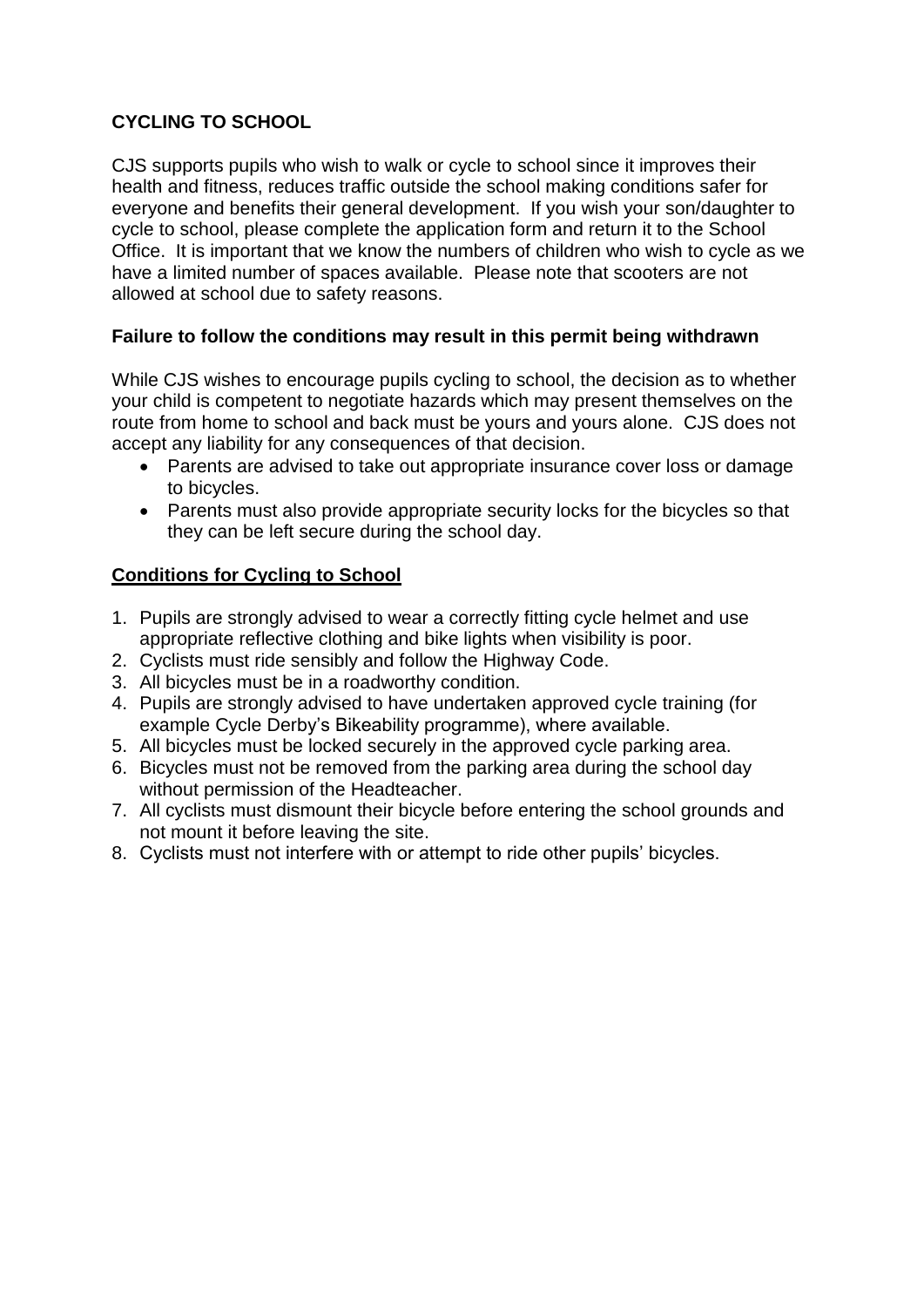## **CYCLING TO SCHOOL**

CJS supports pupils who wish to walk or cycle to school since it improves their health and fitness, reduces traffic outside the school making conditions safer for everyone and benefits their general development. If you wish your son/daughter to cycle to school, please complete the application form and return it to the School Office. It is important that we know the numbers of children who wish to cycle as we have a limited number of spaces available. Please note that scooters are not allowed at school due to safety reasons.

### **Failure to follow the conditions may result in this permit being withdrawn**

While CJS wishes to encourage pupils cycling to school, the decision as to whether your child is competent to negotiate hazards which may present themselves on the route from home to school and back must be yours and yours alone. CJS does not accept any liability for any consequences of that decision.

- Parents are advised to take out appropriate insurance cover loss or damage to bicycles.
- Parents must also provide appropriate security locks for the bicycles so that they can be left secure during the school day.

#### **Conditions for Cycling to School**

- 1. Pupils are strongly advised to wear a correctly fitting cycle helmet and use appropriate reflective clothing and bike lights when visibility is poor.
- 2. Cyclists must ride sensibly and follow the Highway Code.
- 3. All bicycles must be in a roadworthy condition.
- 4. Pupils are strongly advised to have undertaken approved cycle training (for example Cycle Derby's Bikeability programme), where available.
- 5. All bicycles must be locked securely in the approved cycle parking area.
- 6. Bicycles must not be removed from the parking area during the school day without permission of the Headteacher.
- 7. All cyclists must dismount their bicycle before entering the school grounds and not mount it before leaving the site.
- 8. Cyclists must not interfere with or attempt to ride other pupils' bicycles.